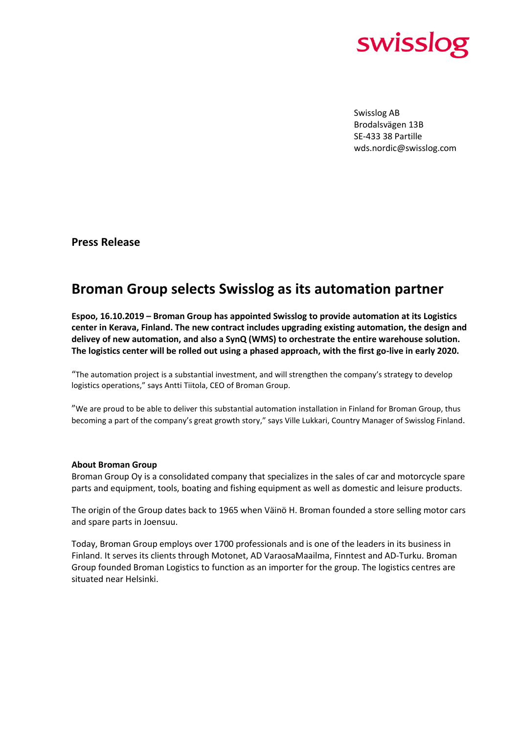

Swisslog AB Brodalsvägen 13B SE-433 38 Partille wds.nordic@swisslog.com

**Press Release**

## **Broman Group selects Swisslog as its automation partner**

**Espoo, 16.10.2019 – Broman Group has appointed Swisslog to provide automation at its Logistics center in Kerava, Finland. The new contract includes upgrading existing automation, the design and delivey of new automation, and also a SynQ (WMS) to orchestrate the entire warehouse solution. The logistics center will be rolled out using a phased approach, with the first go-live in early 2020.**

"The automation project is a substantial investment, and will strengthen the company's strategy to develop logistics operations," says Antti Tiitola, CEO of Broman Group.

"We are proud to be able to deliver this substantial automation installation in Finland for Broman Group, thus becoming a part of the company's great growth story," says Ville Lukkari, Country Manager of Swisslog Finland.

## **About Broman Group**

Broman Group Oy is a consolidated company that specializes in the sales of car and motorcycle spare parts and equipment, tools, boating and fishing equipment as well as domestic and leisure products.

The origin of the Group dates back to 1965 when Väinö H. Broman founded a store selling motor cars and spare parts in Joensuu.

Today, Broman Group employs over 1700 professionals and is one of the leaders in its business in Finland. It serves its clients through Motonet, AD VaraosaMaailma, Finntest and AD-Turku. Broman Group founded Broman Logistics to function as an importer for the group. The logistics centres are situated near Helsinki.